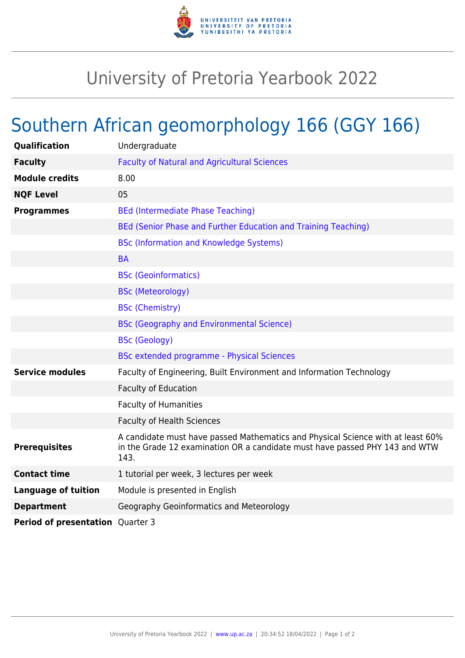

## University of Pretoria Yearbook 2022

## Southern African geomorphology 166 (GGY 166)

| Qualification                           | Undergraduate                                                                                                                                                          |
|-----------------------------------------|------------------------------------------------------------------------------------------------------------------------------------------------------------------------|
| <b>Faculty</b>                          | <b>Faculty of Natural and Agricultural Sciences</b>                                                                                                                    |
| <b>Module credits</b>                   | 8.00                                                                                                                                                                   |
| <b>NQF Level</b>                        | 05                                                                                                                                                                     |
| <b>Programmes</b>                       | <b>BEd (Intermediate Phase Teaching)</b>                                                                                                                               |
|                                         | BEd (Senior Phase and Further Education and Training Teaching)                                                                                                         |
|                                         | <b>BSc (Information and Knowledge Systems)</b>                                                                                                                         |
|                                         | <b>BA</b>                                                                                                                                                              |
|                                         | <b>BSc (Geoinformatics)</b>                                                                                                                                            |
|                                         | <b>BSc (Meteorology)</b>                                                                                                                                               |
|                                         | <b>BSc (Chemistry)</b>                                                                                                                                                 |
|                                         | <b>BSc (Geography and Environmental Science)</b>                                                                                                                       |
|                                         | <b>BSc (Geology)</b>                                                                                                                                                   |
|                                         | <b>BSc extended programme - Physical Sciences</b>                                                                                                                      |
| <b>Service modules</b>                  | Faculty of Engineering, Built Environment and Information Technology                                                                                                   |
|                                         | <b>Faculty of Education</b>                                                                                                                                            |
|                                         | <b>Faculty of Humanities</b>                                                                                                                                           |
|                                         | <b>Faculty of Health Sciences</b>                                                                                                                                      |
| <b>Prerequisites</b>                    | A candidate must have passed Mathematics and Physical Science with at least 60%<br>in the Grade 12 examination OR a candidate must have passed PHY 143 and WTW<br>143. |
| <b>Contact time</b>                     | 1 tutorial per week, 3 lectures per week                                                                                                                               |
| <b>Language of tuition</b>              | Module is presented in English                                                                                                                                         |
| <b>Department</b>                       | Geography Geoinformatics and Meteorology                                                                                                                               |
| <b>Period of presentation</b> Quarter 3 |                                                                                                                                                                        |